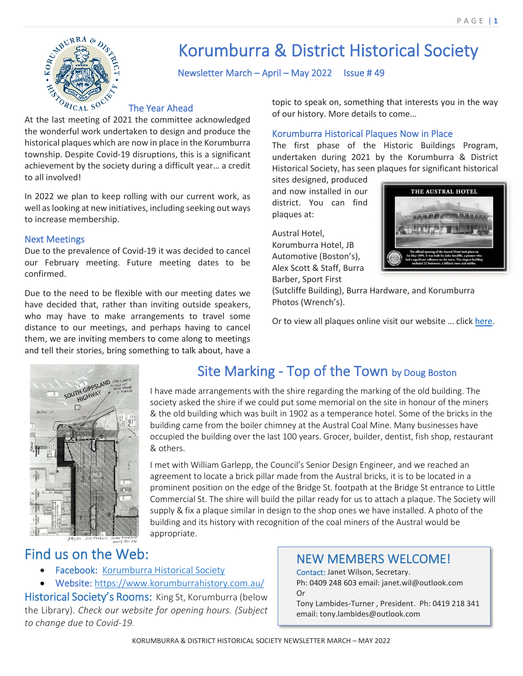

# Korumburra & District Historical Society

Newsletter March – April – May 2022 Issue # 49

#### The Year Ahead

At the last meeting of 2021 the committee acknowledged the wonderful work undertaken to design and produce the historical plaques which are now in place in the Korumburra township. Despite Covid-19 disruptions, this is a significant achievement by the society during a difficult year… a credit to all involved!

In 2022 we plan to keep rolling with our current work, as well as looking at new initiatives, including seeking out ways to increase membership.

#### Next Meetings

Due to the prevalence of Covid-19 it was decided to cancel our February meeting. Future meeting dates to be confirmed.

Due to the need to be flexible with our meeting dates we have decided that, rather than inviting outside speakers, who may have to make arrangements to travel some distance to our meetings, and perhaps having to cancel them, we are inviting members to come along to meetings and tell their stories, bring something to talk about, have a

topic to speak on, something that interests you in the way of our history. More details to come…

#### Korumburra Historical Plaques Now in Place

The first phase of the Historic Buildings Program, undertaken during 2021 by the Korumburra & District Historical Society, has seen plaques for significant historical

sites designed, produced and now installed in our district. You can find plaques at:

Austral Hotel, Korumburra Hotel, JB Automotive (Boston's), Alex Scott & Staff, Burra Barber, Sport First



(Sutcliffe Building), Burra Hardware, and Korumburra Photos (Wrench's).

Or to view all plaques online visit our website … click [here.](https://www.korumburrahistory.com.au/historical-sites/?fbclid=IwAR0T70gsbcCY8KNl5Zg1RpJ34J6-FsD3C9kdsX3-_QoHuUa5xlxPvXcZYYk)



# Site Marking - Top of the Town by Doug Boston

I have made arrangements with the shire regarding the marking of the old building. The society asked the shire if we could put some memorial on the site in honour of the miners & the old building which was built in 1902 as a temperance hotel. Some of the bricks in the building came from the boiler chimney at the Austral Coal Mine. Many businesses have occupied the building over the last 100 years. Grocer, builder, dentist, fish shop, restaurant & others.

I met with William Garlepp, the Council's Senior Design Engineer, and we reached an agreement to locate a brick pillar made from the Austral bricks, it is to be located in a prominent position on the edge of the Bridge St. footpath at the Bridge St entrance to Little Commercial St. The shire will build the pillar ready for us to attach a plaque. The Society will supply & fix a plaque similar in design to the shop ones we have installed. A photo of the building and its history with recognition of the coal miners of the Austral would be appropriate.

## Find us on the Web:

- Facebook: [Korumburra Historical Society](https://www.facebook.com/korumburrahistory)
- Website:<https://www.korumburrahistory.com.au/>

Historical Society's Rooms: King St, Korumburra (below the Library). *Check our website for opening hours. (Subject to change due to Covid-19.* 

## NEW MEMBERS WELCOME!

Contact: Janet Wilson, Secretary. Ph: 0409 248 603 email: janet.wil@outlook.com Or

Tony Lambides-Turner , President. Ph: 0419 218 341 email: tony.lambides@outlook.com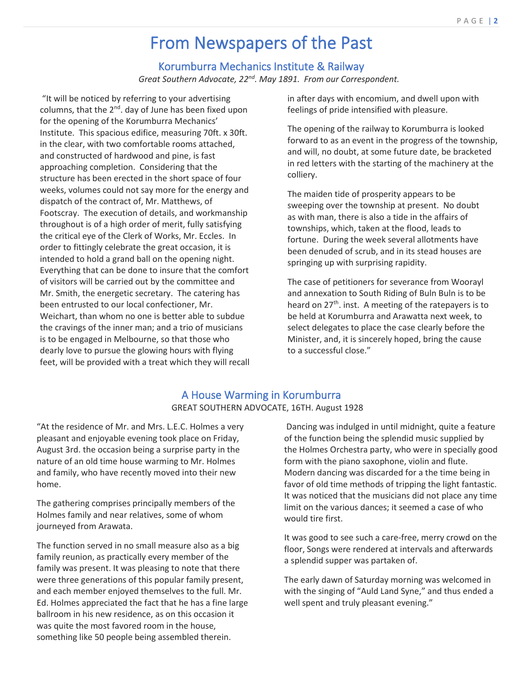# From Newspapers of the Past

## Korumburra Mechanics Institute & Railway

*Great Southern Advocate, 22nd. May 1891. From our Correspondent.*

"It will be noticed by referring to your advertising columns, that the  $2^{nd}$ . day of June has been fixed upon for the opening of the Korumburra Mechanics' Institute. This spacious edifice, measuring 70ft. x 30ft. in the clear, with two comfortable rooms attached, and constructed of hardwood and pine, is fast approaching completion. Considering that the structure has been erected in the short space of four weeks, volumes could not say more for the energy and dispatch of the contract of, Mr. Matthews, of Footscray. The execution of details, and workmanship throughout is of a high order of merit, fully satisfying the critical eye of the Clerk of Works, Mr. Eccles. In order to fittingly celebrate the great occasion, it is intended to hold a grand ball on the opening night. Everything that can be done to insure that the comfort of visitors will be carried out by the committee and Mr. Smith, the energetic secretary. The catering has been entrusted to our local confectioner, Mr. Weichart, than whom no one is better able to subdue the cravings of the inner man; and a trio of musicians is to be engaged in Melbourne, so that those who dearly love to pursue the glowing hours with flying feet, will be provided with a treat which they will recall in after days with encomium, and dwell upon with feelings of pride intensified with pleasure.

The opening of the railway to Korumburra is looked forward to as an event in the progress of the township, and will, no doubt, at some future date, be bracketed in red letters with the starting of the machinery at the colliery.

The maiden tide of prosperity appears to be sweeping over the township at present. No doubt as with man, there is also a tide in the affairs of townships, which, taken at the flood, leads to fortune. During the week several allotments have been denuded of scrub, and in its stead houses are springing up with surprising rapidity.

The case of petitioners for severance from Woorayl and annexation to South Riding of Buln Buln is to be heard on  $27<sup>th</sup>$ . inst. A meeting of the ratepayers is to be held at Korumburra and Arawatta next week, to select delegates to place the case clearly before the Minister, and, it is sincerely hoped, bring the cause to a successful close."

#### A House Warming in Korumburra GREAT SOUTHERN ADVOCATE, 16TH. August 1928

"At the residence of Mr. and Mrs. L.E.C. Holmes a very pleasant and enjoyable evening took place on Friday, August 3rd. the occasion being a surprise party in the nature of an old time house warming to Mr. Holmes and family, who have recently moved into their new home.

The gathering comprises principally members of the Holmes family and near relatives, some of whom journeyed from Arawata.

The function served in no small measure also as a big family reunion, as practically every member of the family was present. It was pleasing to note that there were three generations of this popular family present, and each member enjoyed themselves to the full. Mr. Ed. Holmes appreciated the fact that he has a fine large ballroom in his new residence, as on this occasion it was quite the most favored room in the house, something like 50 people being assembled therein.

Dancing was indulged in until midnight, quite a feature of the function being the splendid music supplied by the Holmes Orchestra party, who were in specially good form with the piano saxophone, violin and flute. Modern dancing was discarded for a the time being in favor of old time methods of tripping the light fantastic. It was noticed that the musicians did not place any time limit on the various dances; it seemed a case of who would tire first.

It was good to see such a care-free, merry crowd on the floor, Songs were rendered at intervals and afterwards a splendid supper was partaken of.

The early dawn of Saturday morning was welcomed in with the singing of "Auld Land Syne," and thus ended a well spent and truly pleasant evening."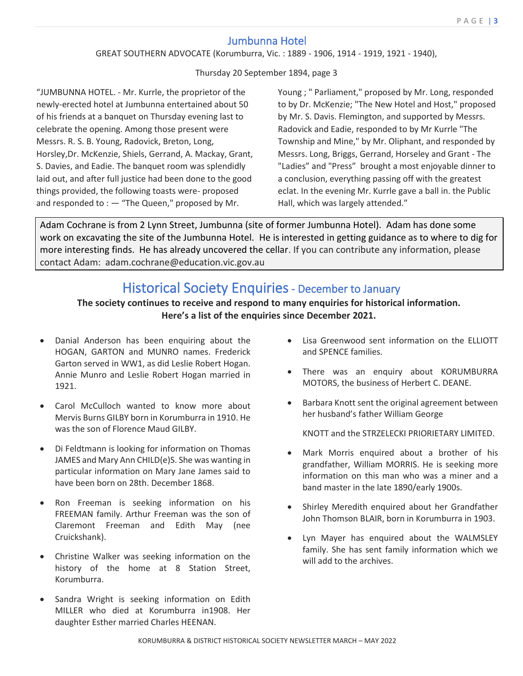## Jumbunna Hotel

#### GREAT SOUTHERN ADVOCATE (Korumburra, Vic. : 1889 - 1906, 1914 - 1919, 1921 - 1940),

Thursday 20 September 1894, page 3

"JUMBUNNA HOTEL. - Mr. Kurrle, the proprietor of the newly-erected hotel at Jumbunna entertained about 50 of his friends at a banquet on Thursday evening last to celebrate the opening. Among those present were Messrs. R. S. B. Young, Radovick, Breton, Long, Horsley,Dr. McKenzie, Shiels, Gerrand, A. Mackay, Grant, S. Davies, and Eadie. The banquet room was splendidly laid out, and after full justice had been done to the good things provided, the following toasts were- proposed and responded to  $: -$  "The Queen," proposed by Mr.

Young ; " Parliament," proposed by Mr. Long, responded to by Dr. McKenzie; "The New Hotel and Host," proposed by Mr. S. Davis. Flemington, and supported by Messrs. Radovick and Eadie, responded to by Mr Kurrle "The Township and Mine," by Mr. Oliphant, and responded by Messrs. Long, Briggs, Gerrand, Horseley and Grant - The "Ladies" and "Press" brought a most enjoyable dinner to a conclusion, everything passing off with the greatest eclat. In the evening Mr. Kurrle gave a ball in. the Public Hall, which was largely attended."

Adam Cochrane is from 2 Lynn Street, Jumbunna (site of former Jumbunna Hotel). Adam has done some work on excavating the site of the Jumbunna Hotel. He is interested in getting guidance as to where to dig for more interesting finds. He has already uncovered the cellar. If you can contribute any information, please contact Adam: adam.cochrane@education.vic.gov.au

# Historical Society Enquiries - December to January

#### **The society continues to receive and respond to many enquiries for historical information. Here's a list of the enquiries since December 2021.**

- Danial Anderson has been enquiring about the HOGAN, GARTON and MUNRO names. Frederick Garton served in WW1, as did Leslie Robert Hogan. Annie Munro and Leslie Robert Hogan married in 1921.
- Carol McCulloch wanted to know more about Mervis Burns GILBY born in Korumburra in 1910. He was the son of Florence Maud GILBY.
- Di Feldtmann is looking for information on Thomas JAMES and Mary Ann CHILD(e)S. She was wanting in particular information on Mary Jane James said to have been born on 28th. December 1868.
- Ron Freeman is seeking information on his FREEMAN family. Arthur Freeman was the son of Claremont Freeman and Edith May (nee Cruickshank).
- Christine Walker was seeking information on the history of the home at 8 Station Street, Korumburra.
- Sandra Wright is seeking information on Edith MILLER who died at Korumburra in1908. Her daughter Esther married Charles HEENAN.
- Lisa Greenwood sent information on the ELLIOTT and SPENCE families.
- There was an enquiry about KORUMBURRA MOTORS, the business of Herbert C. DEANE.
- Barbara Knott sent the original agreement between her husband's father William George

KNOTT and the STRZELECKI PRIORIETARY LIMITED.

- Mark Morris enquired about a brother of his grandfather, William MORRIS. He is seeking more information on this man who was a miner and a band master in the late 1890/early 1900s.
- Shirley Meredith enquired about her Grandfather John Thomson BLAIR, born in Korumburra in 1903.
- Lyn Mayer has enquired about the WALMSLEY family. She has sent family information which we will add to the archives.